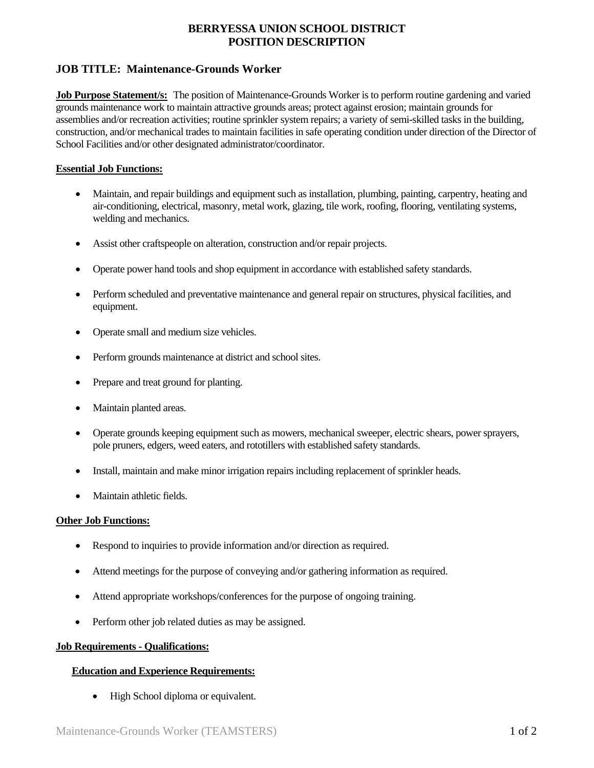# **BERRYESSA UNION SCHOOL DISTRICT POSITION DESCRIPTION**

# **JOB TITLE: Maintenance-Grounds Worker**

**Job Purpose Statement/s:** The position of Maintenance-Grounds Worker is to perform routine gardening and varied grounds maintenance work to maintain attractive grounds areas; protect against erosion; maintain grounds for assemblies and/or recreation activities; routine sprinkler system repairs; a variety of semi-skilled tasks in the building, construction, and/or mechanical trades to maintain facilities in safe operating condition under direction of the Director of School Facilities and/or other designated administrator/coordinator.

### **Essential Job Functions:**

- Maintain, and repair buildings and equipment such as installation, plumbing, painting, carpentry, heating and air-conditioning, electrical, masonry, metal work, glazing, tile work, roofing, flooring, ventilating systems, welding and mechanics.
- Assist other craftspeople on alteration, construction and/or repair projects.
- Operate power hand tools and shop equipment in accordance with established safety standards.
- Perform scheduled and preventative maintenance and general repair on structures, physical facilities, and equipment.
- Operate small and medium size vehicles.
- Perform grounds maintenance at district and school sites.
- Prepare and treat ground for planting.
- Maintain planted areas.
- Operate grounds keeping equipment such as mowers, mechanical sweeper, electric shears, power sprayers, pole pruners, edgers, weed eaters, and rototillers with established safety standards.
- Install, maintain and make minor irrigation repairs including replacement of sprinkler heads.
- Maintain athletic fields.

#### **Other Job Functions:**

- Respond to inquiries to provide information and/or direction as required.
- Attend meetings for the purpose of conveying and/or gathering information as required.
- Attend appropriate workshops/conferences for the purpose of ongoing training.
- Perform other job related duties as may be assigned.

#### **Job Requirements - Qualifications:**

#### **Education and Experience Requirements:**

• High School diploma or equivalent.